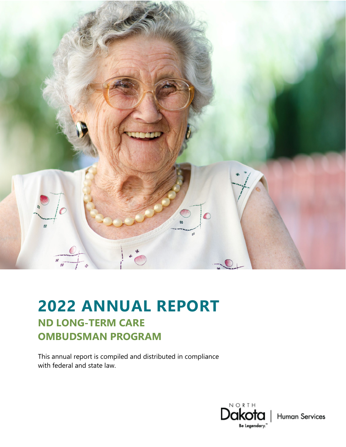

# **2022 ANNUAL REPORT ND LONG-TERM CARE OMBUDSMAN PROGRAM**

This annual report is compiled and distributed in compliance with federal and state law.



**Human Services**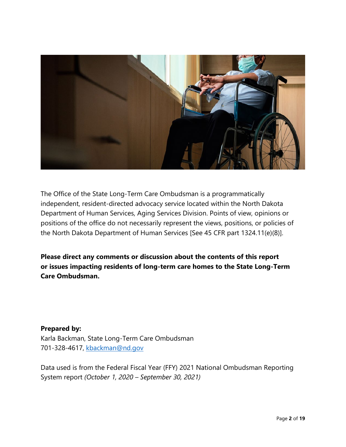

The Office of the State Long-Term Care Ombudsman is a programmatically independent, resident-directed advocacy service located within the North Dakota Department of Human Services, Aging Services Division. Points of view, opinions or positions of the office do not necessarily represent the views, positions, or policies of the North Dakota Department of Human Services [See 45 CFR part 1324.11(e)(8)].

**Please direct any comments or discussion about the contents of this report or issues impacting residents of long-term care homes to the State Long-Term Care Ombudsman.**

#### **Prepared by:**

Karla Backman, State Long-Term Care Ombudsman 701-328-4617, [kbackman@nd.gov](mailto:kbackman@nd.gov) 

Data used is from the Federal Fiscal Year (FFY) 2021 National Ombudsman Reporting System report *(October 1, 2020 – September 30, 2021)*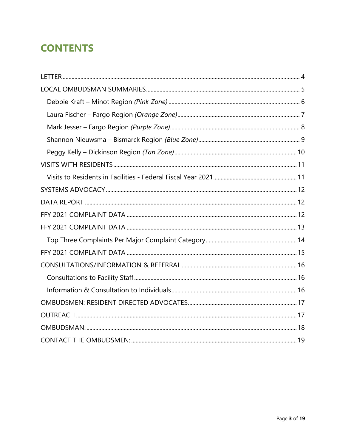# **CONTENTS**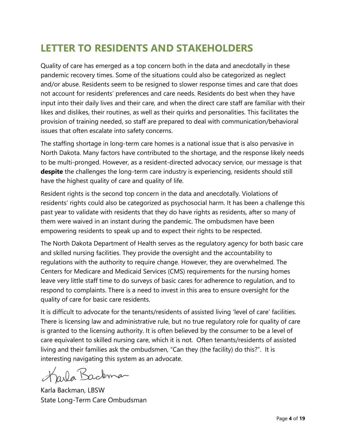# **LETTER TO RESIDENTS AND STAKEHOLDERS**

Quality of care has emerged as a top concern both in the data and anecdotally in these pandemic recovery times. Some of the situations could also be categorized as neglect and/or abuse. Residents seem to be resigned to slower response times and care that does not account for residents' preferences and care needs. Residents do best when they have input into their daily lives and their care, and when the direct care staff are familiar with their likes and dislikes, their routines, as well as their quirks and personalities. This facilitates the provision of training needed, so staff are prepared to deal with communication/behavioral issues that often escalate into safety concerns.

The staffing shortage in long-term care homes is a national issue that is also pervasive in North Dakota. Many factors have contributed to the shortage, and the response likely needs to be multi-pronged. However, as a resident-directed advocacy service, our message is that **despite** the challenges the long-term care industry is experiencing, residents should still have the highest quality of care and quality of life.

Resident rights is the second top concern in the data and anecdotally. Violations of residents' rights could also be categorized as psychosocial harm. It has been a challenge this past year to validate with residents that they do have rights as residents, after so many of them were waived in an instant during the pandemic. The ombudsmen have been empowering residents to speak up and to expect their rights to be respected.

The North Dakota Department of Health serves as the regulatory agency for both basic care and skilled nursing facilities. They provide the oversight and the accountability to regulations with the authority to require change. However, they are overwhelmed. The Centers for Medicare and Medicaid Services (CMS) requirements for the nursing homes leave very little staff time to do surveys of basic cares for adherence to regulation, and to respond to complaints. There is a need to invest in this area to ensure oversight for the quality of care for basic care residents.

It is difficult to advocate for the tenants/residents of assisted living 'level of care' facilities. There is licensing law and administrative rule, but no true regulatory role for quality of care is granted to the licensing authority. It is often believed by the consumer to be a level of care equivalent to skilled nursing care, which it is not. Often tenants/residents of assisted living and their families ask the ombudsmen, "Can they (the facility) do this?". It is interesting navigating this system as an advocate.

Karla Backman

Karla Backman, LBSW State Long-Term Care Ombudsman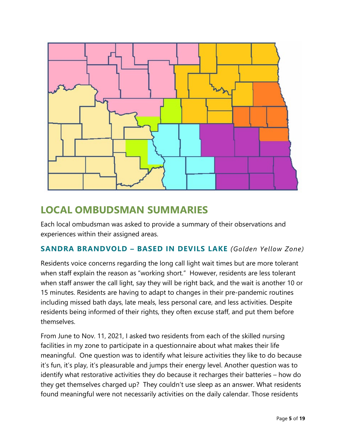

# <span id="page-4-0"></span>**LOCAL OMBUDSMAN SUMMARIES**

Each local ombudsman was asked to provide a summary of their observations and experiences within their assigned areas.

### **SANDRA BRANDVOLD – BASED IN DEVILS LAKE** *(Golden Yellow Zone)*

Residents voice concerns regarding the long call light wait times but are more tolerant when staff explain the reason as "working short." However, residents are less tolerant when staff answer the call light, say they will be right back, and the wait is another 10 or 15 minutes. Residents are having to adapt to changes in their pre-pandemic routines including missed bath days, late meals, less personal care, and less activities. Despite residents being informed of their rights, they often excuse staff, and put them before themselves.

From June to Nov. 11, 2021, I asked two residents from each of the skilled nursing facilities in my zone to participate in a questionnaire about what makes their life meaningful. One question was to identify what leisure activities they like to do because it's fun, it's play, it's pleasurable and jumps their energy level. Another question was to identify what restorative activities they do because it recharges their batteries – how do they get themselves charged up? They couldn't use sleep as an answer. What residents found meaningful were not necessarily activities on the daily calendar. Those residents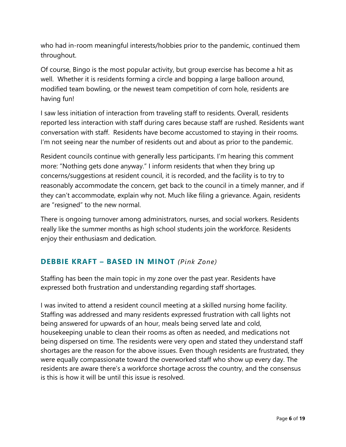who had in-room meaningful interests/hobbies prior to the pandemic, continued them throughout.

Of course, Bingo is the most popular activity, but group exercise has become a hit as well. Whether it is residents forming a circle and bopping a large balloon around, modified team bowling, or the newest team competition of corn hole, residents are having fun!

I saw less initiation of interaction from traveling staff to residents. Overall, residents reported less interaction with staff during cares because staff are rushed. Residents want conversation with staff. Residents have become accustomed to staying in their rooms. I'm not seeing near the number of residents out and about as prior to the pandemic.

Resident councils continue with generally less participants. I'm hearing this comment more: "Nothing gets done anyway." I inform residents that when they bring up concerns/suggestions at resident council, it is recorded, and the facility is to try to reasonably accommodate the concern, get back to the council in a timely manner, and if they can't accommodate, explain why not. Much like filing a grievance. Again, residents are "resigned" to the new normal.

There is ongoing turnover among administrators, nurses, and social workers. Residents really like the summer months as high school students join the workforce. Residents enjoy their enthusiasm and dedication.

### <span id="page-5-0"></span>**DEBBIE KRAFT – BASED IN MINOT** *(Pink Zone)*

Staffing has been the main topic in my zone over the past year. Residents have expressed both frustration and understanding regarding staff shortages.

I was invited to attend a resident council meeting at a skilled nursing home facility. Staffing was addressed and many residents expressed frustration with call lights not being answered for upwards of an hour, meals being served late and cold, housekeeping unable to clean their rooms as often as needed, and medications not being dispersed on time. The residents were very open and stated they understand staff shortages are the reason for the above issues. Even though residents are frustrated, they were equally compassionate toward the overworked staff who show up every day. The residents are aware there's a workforce shortage across the country, and the consensus is this is how it will be until this issue is resolved.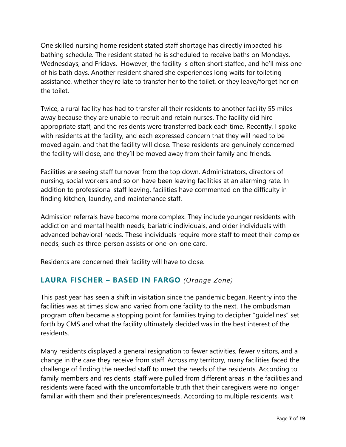One skilled nursing home resident stated staff shortage has directly impacted his bathing schedule. The resident stated he is scheduled to receive baths on Mondays, Wednesdays, and Fridays. However, the facility is often short staffed, and he'll miss one of his bath days. Another resident shared she experiences long waits for toileting assistance, whether they're late to transfer her to the toilet, or they leave/forget her on the toilet.

Twice, a rural facility has had to transfer all their residents to another facility 55 miles away because they are unable to recruit and retain nurses. The facility did hire appropriate staff, and the residents were transferred back each time. Recently, I spoke with residents at the facility, and each expressed concern that they will need to be moved again, and that the facility will close. These residents are genuinely concerned the facility will close, and they'll be moved away from their family and friends.

Facilities are seeing staff turnover from the top down. Administrators, directors of nursing, social workers and so on have been leaving facilities at an alarming rate. In addition to professional staff leaving, facilities have commented on the difficulty in finding kitchen, laundry, and maintenance staff.

Admission referrals have become more complex. They include younger residents with addiction and mental health needs, bariatric individuals, and older individuals with advanced behavioral needs. These individuals require more staff to meet their complex needs, such as three-person assists or one-on-one care.

Residents are concerned their facility will have to close.

### <span id="page-6-0"></span>**LAURA FISCHER – BASED IN FARGO** *(Orange Zone)*

This past year has seen a shift in visitation since the pandemic began. Reentry into the facilities was at times slow and varied from one facility to the next. The ombudsman program often became a stopping point for families trying to decipher "guidelines" set forth by CMS and what the facility ultimately decided was in the best interest of the residents.

Many residents displayed a general resignation to fewer activities, fewer visitors, and a change in the care they receive from staff. Across my territory, many facilities faced the challenge of finding the needed staff to meet the needs of the residents. According to family members and residents, staff were pulled from different areas in the facilities and residents were faced with the uncomfortable truth that their caregivers were no longer familiar with them and their preferences/needs. According to multiple residents, wait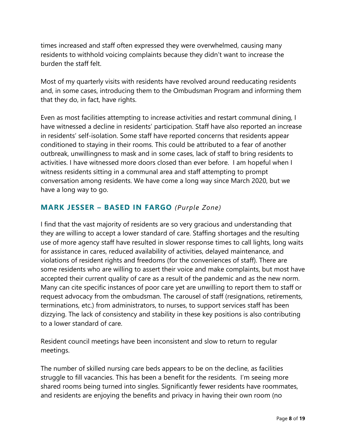times increased and staff often expressed they were overwhelmed, causing many residents to withhold voicing complaints because they didn't want to increase the burden the staff felt.

Most of my quarterly visits with residents have revolved around reeducating residents and, in some cases, introducing them to the Ombudsman Program and informing them that they do, in fact, have rights.

Even as most facilities attempting to increase activities and restart communal dining, I have witnessed a decline in residents' participation. Staff have also reported an increase in residents' self-isolation. Some staff have reported concerns that residents appear conditioned to staying in their rooms. This could be attributed to a fear of another outbreak, unwillingness to mask and in some cases, lack of staff to bring residents to activities. I have witnessed more doors closed than ever before. I am hopeful when I witness residents sitting in a communal area and staff attempting to prompt conversation among residents. We have come a long way since March 2020, but we have a long way to go.

### <span id="page-7-0"></span>**MARK JESSER – BASED IN FARGO** *(Purple Zone)*

I find that the vast majority of residents are so very gracious and understanding that they are willing to accept a lower standard of care. Staffing shortages and the resulting use of more agency staff have resulted in slower response times to call lights, long waits for assistance in cares, reduced availability of activities, delayed maintenance, and violations of resident rights and freedoms (for the conveniences of staff). There are some residents who are willing to assert their voice and make complaints, but most have accepted their current quality of care as a result of the pandemic and as the new norm. Many can cite specific instances of poor care yet are unwilling to report them to staff or request advocacy from the ombudsman. The carousel of staff (resignations, retirements, terminations, etc.) from administrators, to nurses, to support services staff has been dizzying. The lack of consistency and stability in these key positions is also contributing to a lower standard of care.

Resident council meetings have been inconsistent and slow to return to regular meetings.

The number of skilled nursing care beds appears to be on the decline, as facilities struggle to fill vacancies. This has been a benefit for the residents. I'm seeing more shared rooms being turned into singles. Significantly fewer residents have roommates, and residents are enjoying the benefits and privacy in having their own room (no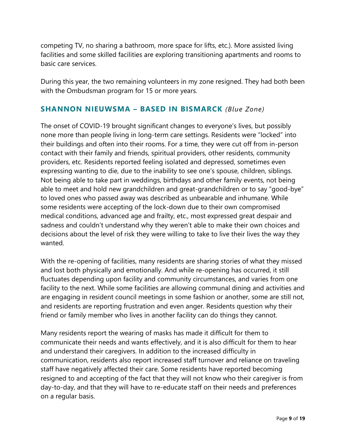competing TV, no sharing a bathroom, more space for lifts, etc.). More assisted living facilities and some skilled facilities are exploring transitioning apartments and rooms to basic care services.

During this year, the two remaining volunteers in my zone resigned. They had both been with the Ombudsman program for 15 or more years.

### <span id="page-8-0"></span>**SHANNON NIEUWSMA – BASED IN BISMARCK** *(Blue Zone)*

The onset of COVID-19 brought significant changes to everyone's lives, but possibly none more than people living in long-term care settings. Residents were "locked" into their buildings and often into their rooms. For a time, they were cut off from in-person contact with their family and friends, spiritual providers, other residents, community providers, etc. Residents reported feeling isolated and depressed, sometimes even expressing wanting to die, due to the inability to see one's spouse, children, siblings. Not being able to take part in weddings, birthdays and other family events, not being able to meet and hold new grandchildren and great-grandchildren or to say "good-bye" to loved ones who passed away was described as unbearable and inhumane. While some residents were accepting of the lock-down due to their own compromised medical conditions, advanced age and frailty, etc., most expressed great despair and sadness and couldn't understand why they weren't able to make their own choices and decisions about the level of risk they were willing to take to live their lives the way they wanted.

With the re-opening of facilities, many residents are sharing stories of what they missed and lost both physically and emotionally. And while re-opening has occurred, it still fluctuates depending upon facility and community circumstances, and varies from one facility to the next. While some facilities are allowing communal dining and activities and are engaging in resident council meetings in some fashion or another, some are still not, and residents are reporting frustration and even anger. Residents question why their friend or family member who lives in another facility can do things they cannot.

Many residents report the wearing of masks has made it difficult for them to communicate their needs and wants effectively, and it is also difficult for them to hear and understand their caregivers. In addition to the increased difficulty in communication, residents also report increased staff turnover and reliance on traveling staff have negatively affected their care. Some residents have reported becoming resigned to and accepting of the fact that they will not know who their caregiver is from day-to-day, and that they will have to re-educate staff on their needs and preferences on a regular basis.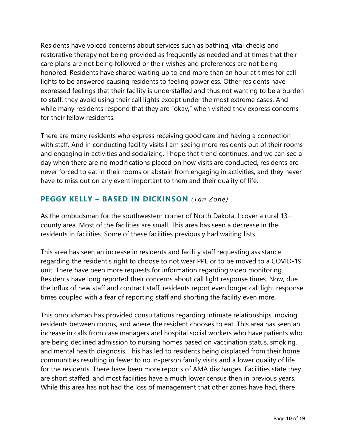Residents have voiced concerns about services such as bathing, vital checks and restorative therapy not being provided as frequently as needed and at times that their care plans are not being followed or their wishes and preferences are not being honored. Residents have shared waiting up to and more than an hour at times for call lights to be answered causing residents to feeling powerless. Other residents have expressed feelings that their facility is understaffed and thus not wanting to be a burden to staff, they avoid using their call lights except under the most extreme cases. And while many residents respond that they are "okay," when visited they express concerns for their fellow residents.

There are many residents who express receiving good care and having a connection with staff. And in conducting facility visits I am seeing more residents out of their rooms and engaging in activities and socializing. I hope that trend continues, and we can see a day when there are no modifications placed on how visits are conducted, residents are never forced to eat in their rooms or abstain from engaging in activities, and they never have to miss out on any event important to them and their quality of life.

### <span id="page-9-0"></span>**PEGGY KELLY – BASED IN DICKINSON** *(Tan Zone)*

As the ombudsman for the southwestern corner of North Dakota, I cover a rural 13+ county area. Most of the facilities are small. This area has seen a decrease in the residents in facilities. Some of these facilities previously had waiting lists.

This area has seen an increase in residents and facility staff requesting assistance regarding the resident's right to choose to not wear PPE or to be moved to a COVID-19 unit. There have been more requests for information regarding video monitoring. Residents have long reported their concerns about call light response times. Now, due the influx of new staff and contract staff, residents report even longer call light response times coupled with a fear of reporting staff and shorting the facility even more.

This ombudsman has provided consultations regarding intimate relationships, moving residents between rooms, and where the resident chooses to eat. This area has seen an increase in calls from case managers and hospital social workers who have patients who are being declined admission to nursing homes based on vaccination status, smoking, and mental health diagnosis. This has led to residents being displaced from their home communities resulting in fewer to no in-person family visits and a lower quality of life for the residents. There have been more reports of AMA discharges. Facilities state they are short staffed, and most facilities have a much lower census then in previous years. While this area has not had the loss of management that other zones have had, there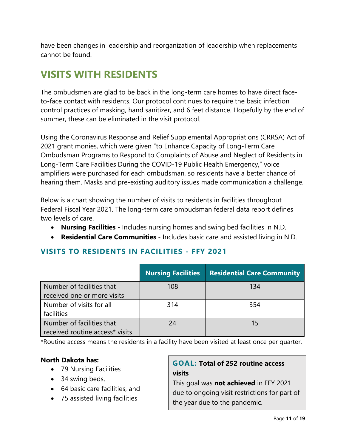have been changes in leadership and reorganization of leadership when replacements cannot be found.

# <span id="page-10-0"></span>**VISITS WITH RESIDENTS**

The ombudsmen are glad to be back in the long-term care homes to have direct faceto-face contact with residents. Our protocol continues to require the basic infection control practices of masking, hand sanitizer, and 6 feet distance. Hopefully by the end of summer, these can be eliminated in the visit protocol.

Using the Coronavirus Response and Relief Supplemental Appropriations (CRRSA) Act of 2021 grant monies, which were given "to Enhance Capacity of Long-Term Care Ombudsman Programs to Respond to Complaints of Abuse and Neglect of Residents in Long-Term Care Facilities During the COVID-19 Public Health Emergency," voice amplifiers were purchased for each ombudsman, so residents have a better chance of hearing them. Masks and pre-existing auditory issues made communication a challenge.

Below is a chart showing the number of visits to residents in facilities throughout Federal Fiscal Year 2021. The long-term care ombudsman federal data report defines two levels of care.

- **Nursing Facilities** Includes nursing homes and swing bed facilities in N.D.
- **Residential Care Communities** Includes basic care and assisted living in N.D.

### <span id="page-10-1"></span>**VISITS TO RESIDENTS IN FACILITIES - FFY 2021**

|                                 | <b>Nursing Facilities</b> | <b>Residential Care Community</b> |
|---------------------------------|---------------------------|-----------------------------------|
| Number of facilities that       | 108                       | 134                               |
| received one or more visits     |                           |                                   |
| Number of visits for all        | 314                       | 354                               |
| facilities                      |                           |                                   |
| Number of facilities that       | 24                        | 15                                |
| received routine access* visits |                           |                                   |

\*Routine access means the residents in a facility have been visited at least once per quarter.

### **North Dakota has:**

- 79 Nursing Facilities
- 34 swing beds,
- 64 basic care facilities, and
- 75 assisted living facilities

## **GOAL: Total of 252 routine access visits**

This goal was **not achieved** in FFY 2021 due to ongoing visit restrictions for part of the year due to the pandemic.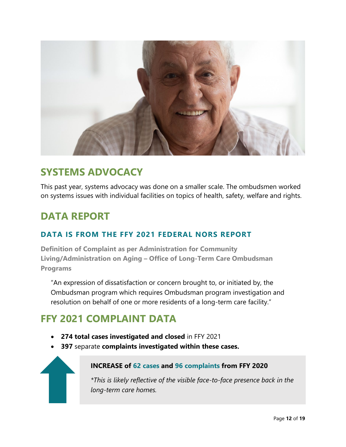

# <span id="page-11-0"></span>**SYSTEMS ADVOCACY**

This past year, systems advocacy was done on a smaller scale. The ombudsmen worked on systems issues with individual facilities on topics of health, safety, welfare and rights.

# <span id="page-11-1"></span>**DATA REPORT**

### **DATA IS FROM THE FFY 2021 FEDERAL NORS REPORT**

**Definition of Complaint as per Administration for Community Living/Administration on Aging – Office of Long-Term Care Ombudsman Programs**

"An expression of dissatisfaction or concern brought to, or initiated by, the Ombudsman program which requires Ombudsman program investigation and resolution on behalf of one or more residents of a long-term care facility."

# <span id="page-11-2"></span>**FFY 2021 COMPLAINT DATA**

- **274 total cases investigated and closed** in FFY 2021
- **397** separate **complaints investigated within these cases.**



### **INCREASE of 62 cases and 96 complaints from FFY 2020**

*\*This is likely reflective of the visible face-to-face presence back in the long-term care homes.*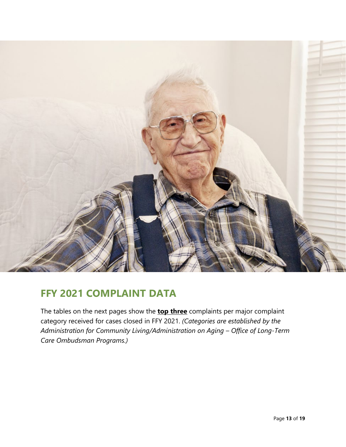

# <span id="page-12-0"></span>**FFY 2021 COMPLAINT DATA**

<span id="page-12-1"></span>The tables on the next pages show the **top three** complaints per major complaint category received for cases closed in FFY 2021. *(Categories are established by the Administration for Community Living/Administration on Aging – Office of Long-Term Care Ombudsman Programs.)*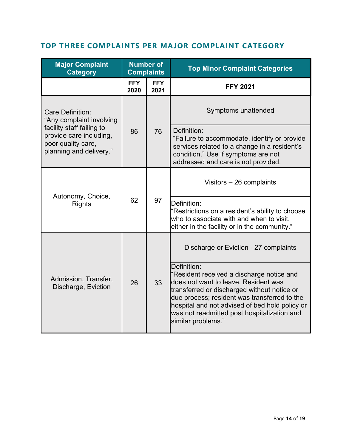## **TOP THREE COMPLAINTS PER MAJOR COMPLAINT CATEGORY**

<span id="page-13-0"></span>

| <b>Major Complaint</b><br><b>Category</b>                                                             | <b>Number of</b><br><b>Complaints</b> |                    | <b>Top Minor Complaint Categories</b>                                                                                                                                                                                                                                                                                  |
|-------------------------------------------------------------------------------------------------------|---------------------------------------|--------------------|------------------------------------------------------------------------------------------------------------------------------------------------------------------------------------------------------------------------------------------------------------------------------------------------------------------------|
|                                                                                                       | <b>FFY</b><br>2020                    | <b>FFY</b><br>2021 | <b>FFY 2021</b>                                                                                                                                                                                                                                                                                                        |
| <b>Care Definition:</b><br>"Any complaint involving                                                   | 86                                    | 76                 | Symptoms unattended                                                                                                                                                                                                                                                                                                    |
| facility staff failing to<br>provide care including,<br>poor quality care,<br>planning and delivery." |                                       |                    | Definition:<br>"Failure to accommodate, identify or provide<br>services related to a change in a resident's<br>condition." Use if symptoms are not<br>addressed and care is not provided.                                                                                                                              |
|                                                                                                       | 62                                    | 97                 | Visitors $-26$ complaints                                                                                                                                                                                                                                                                                              |
| Autonomy, Choice,<br><b>Rights</b>                                                                    |                                       |                    | Definition:<br>"Restrictions on a resident's ability to choose<br>who to associate with and when to visit,<br>either in the facility or in the community."                                                                                                                                                             |
|                                                                                                       | 26                                    | 33                 | Discharge or Eviction - 27 complaints                                                                                                                                                                                                                                                                                  |
| Admission, Transfer,<br>Discharge, Eviction                                                           |                                       |                    | Definition:<br>"Resident received a discharge notice and<br>does not want to leave. Resident was<br>transferred or discharged without notice or<br>due process; resident was transferred to the<br>hospital and not advised of bed hold policy or<br>was not readmitted post hospitalization and<br>similar problems." |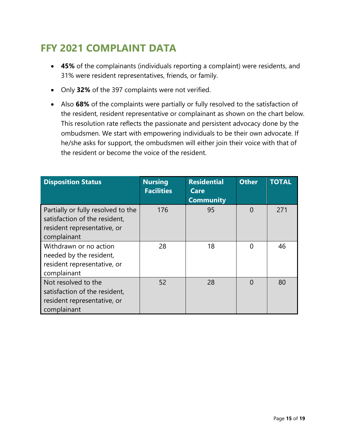# **FFY 2021 COMPLAINT DATA**

- **45%** of the complainants (individuals reporting a complaint) were residents, and 31% were resident representatives, friends, or family.
- Only **32%** of the 397 complaints were not verified.
- Also **68%** of the complaints were partially or fully resolved to the satisfaction of the resident, resident representative or complainant as shown on the chart below. This resolution rate reflects the passionate and persistent advocacy done by the ombudsmen. We start with empowering individuals to be their own advocate. If he/she asks for support, the ombudsmen will either join their voice with that of the resident or become the voice of the resident.

| <b>Disposition Status</b>                                                                                         | <b>Nursing</b><br><b>Facilities</b> | <b>Residential</b><br>Care<br><b>Community</b> | <b>Other</b> | <b>TOTAL</b> |
|-------------------------------------------------------------------------------------------------------------------|-------------------------------------|------------------------------------------------|--------------|--------------|
| Partially or fully resolved to the<br>satisfaction of the resident,<br>resident representative, or<br>complainant | 176                                 | 95                                             | $\Omega$     | 271          |
| Withdrawn or no action<br>needed by the resident,<br>resident representative, or<br>complainant                   | 28                                  | 18                                             | 0            | 46           |
| Not resolved to the<br>satisfaction of the resident,<br>resident representative, or<br>complainant                | 52                                  | 28                                             | ∩            | 80           |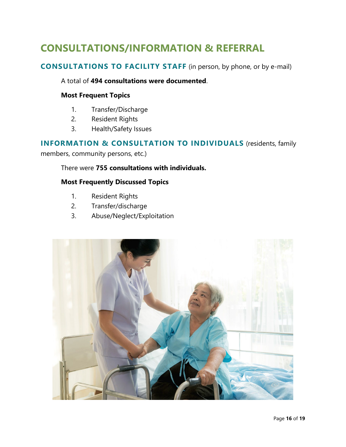# <span id="page-15-0"></span>**CONSULTATIONS/INFORMATION & REFERRAL**

### <span id="page-15-1"></span>**CONSULTATIONS TO FACILITY STAFF** (in person, by phone, or by e-mail)

#### A total of **494 consultations were documented**.

#### **Most Frequent Topics**

- 1. Transfer/Discharge
- 2. Resident Rights
- 3. Health/Safety Issues

### <span id="page-15-2"></span>**INFORMATION & CONSULTATION TO INDIVIDUALS** (residents, family members, community persons, etc.)

#### There were **755 consultations with individuals.**

#### **Most Frequently Discussed Topics**

- 1. Resident Rights
- 2. Transfer/discharge
- 3. Abuse/Neglect/Exploitation

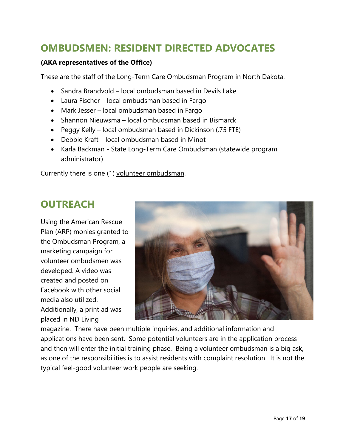# <span id="page-16-0"></span>**OMBUDSMEN: RESIDENT DIRECTED ADVOCATES**

#### **(AKA representatives of the Office)**

These are the staff of the Long-Term Care Ombudsman Program in North Dakota.

- Sandra Brandvold local ombudsman based in Devils Lake
- Laura Fischer local ombudsman based in Fargo
- Mark Jesser local ombudsman based in Fargo
- Shannon Nieuwsma local ombudsman based in Bismarck
- Peggy Kelly local ombudsman based in Dickinson (.75 FTE)
- Debbie Kraft local ombudsman based in Minot
- Karla Backman State Long-Term Care Ombudsman (statewide program administrator)

Currently there is one (1) volunteer ombudsman.

# <span id="page-16-1"></span>**OUTREACH**

Using the American Rescue Plan (ARP) monies granted to the Ombudsman Program, a marketing campaign for volunteer ombudsmen was developed. A video was created and posted on Facebook with other social media also utilized. Additionally, a print ad was placed in ND Living



magazine. There have been multiple inquiries, and additional information and applications have been sent. Some potential volunteers are in the application process and then will enter the initial training phase. Being a volunteer ombudsman is a big ask, as one of the responsibilities is to assist residents with complaint resolution. It is not the typical feel-good volunteer work people are seeking.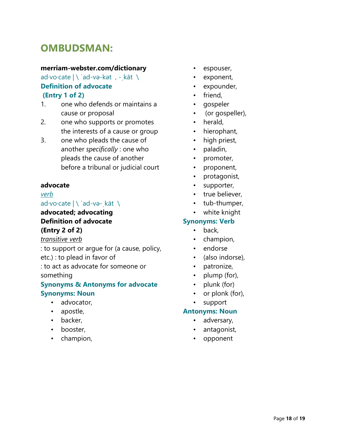# <span id="page-17-0"></span>**OMBUDSMAN:**

#### **merriam-webster.com/dictionary**

ad·vo·cate | \ ˈad-və-kət , -ˌkāt \ **Definition of advocate (Entry 1 of 2)**

- 1. one who defends or maintains a cause or proposal
- 2. one who supports or promotes the interests of a cause or group
- 3. one who pleads the cause of another *specifically* : one who pleads the cause of another before a tribunal or judicial court

#### **advocate**

#### *verb*

#### ad·vo·cate | \ ˈad-və-ˌkāt \

### **advocated; advocating Definition of advocate (Entry 2 of 2)**

*transitive verb*

: to support or argue for (a cause, policy, etc.) : to plead in favor of

: to act as advocate for someone or something

#### **Synonyms & Antonyms for advocate Synonyms: Noun**

- advocator,
- apostle,
- backer,
- booster,
- champion,
- espouser,
- exponent,
- expounder,
- friend,
- gospeler
- (or gospeller),
- herald,
- hierophant,
- high priest,
- paladin,
- promoter,
- proponent,
- protagonist,
- supporter,
- true believer,
- tub-thumper,
- white knight

#### **Synonyms: Verb**

- back,
- champion,
- endorse
- (also indorse),
- patronize,
- plump (for),
- plunk (for)
- or plonk (for),
- support

#### **Antonyms: Noun**

- adversary,
- antagonist,
- opponent